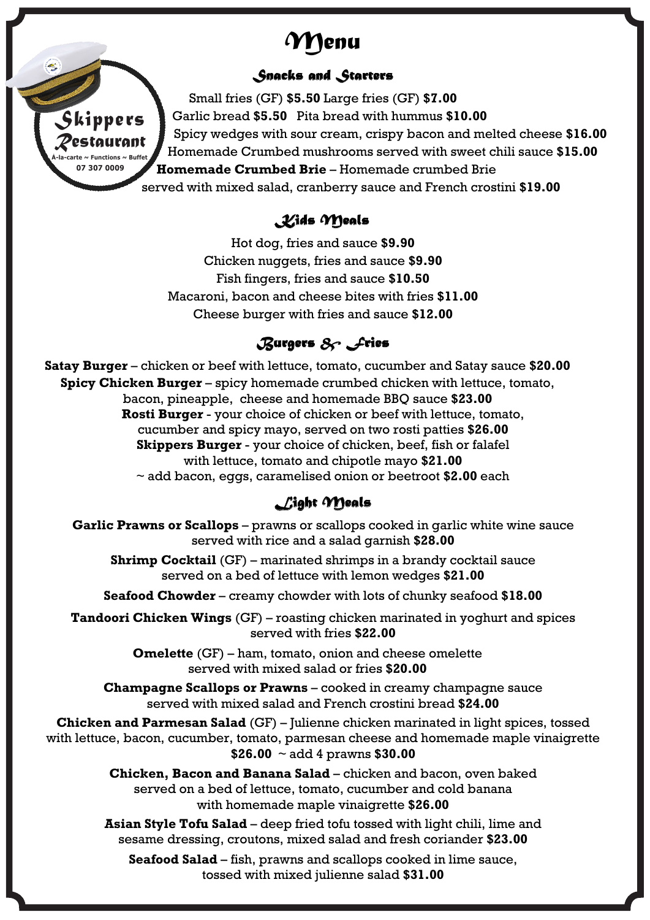# *Menu*



#### *Snacks and Starters*

Small fries (GF) **\$5.50** Large fries (GF) **\$7.00** Garlic bread **\$5.50** Pita bread with hummus **\$10.00** Spicy wedges with sour cream, crispy bacon and melted cheese **\$16.00** Homemade Crumbed mushrooms served with sweet chili sauce **\$15.00 Homemade Crumbed Brie** – Homemade crumbed Brie served with mixed salad, cranberry sauce and French crostini **\$19.00**

### *Kids Meals*

Hot dog, fries and sauce **\$9.90** Chicken nuggets, fries and sauce **\$9.90** Fish fingers, fries and sauce **\$10.50** Macaroni, bacon and cheese bites with fries **\$11.00** Cheese burger with fries and sauce **\$12.00**

## *Burgers & Fries*

**Satay Burger** – chicken or beef with lettuce, tomato, cucumber and Satay sauce **\$20.00 Spicy Chicken Burger** – spicy homemade crumbed chicken with lettuce, tomato, bacon, pineapple, cheese and homemade BBQ sauce **\$23.00 Rosti Burger** - your choice of chicken or beef with lettuce, tomato, cucumber and spicy mayo, served on two rosti patties **\$26.00 Skippers Burger** - your choice of chicken, beef, fish or falafel with lettuce, tomato and chipotle mayo **\$21.00** ~ add bacon, eggs, caramelised onion or beetroot **\$2.00** each

## *Light Meals*

**Garlic Prawns or Scallops** – prawns or scallops cooked in garlic white wine sauce served with rice and a salad garnish **\$28.00**

**Shrimp Cocktail** (GF) – marinated shrimps in a brandy cocktail sauce served on a bed of lettuce with lemon wedges **\$21.00**

**Seafood Chowder** – creamy chowder with lots of chunky seafood **\$18.00**

**Tandoori Chicken Wings** (GF) – roasting chicken marinated in yoghurt and spices served with fries **\$22.00**

> **Omelette** (GF) – ham, tomato, onion and cheese omelette served with mixed salad or fries **\$20.00**

**Champagne Scallops or Prawns** – cooked in creamy champagne sauce served with mixed salad and French crostini bread **\$24.00**

**Chicken and Parmesan Salad** (GF) – Julienne chicken marinated in light spices, tossed with lettuce, bacon, cucumber, tomato, parmesan cheese and homemade maple vinaigrette **\$26.00** ~ add 4 prawns **\$30.00**

> **Chicken, Bacon and Banana Salad** – chicken and bacon, oven baked served on a bed of lettuce, tomato, cucumber and cold banana with homemade maple vinaigrette **\$26.00**

**Asian Style Tofu Salad** – deep fried tofu tossed with light chili, lime and sesame dressing, croutons, mixed salad and fresh coriander **\$23.00**

**Seafood Salad** – fish, prawns and scallops cooked in lime sauce, tossed with mixed julienne salad **\$31.00**